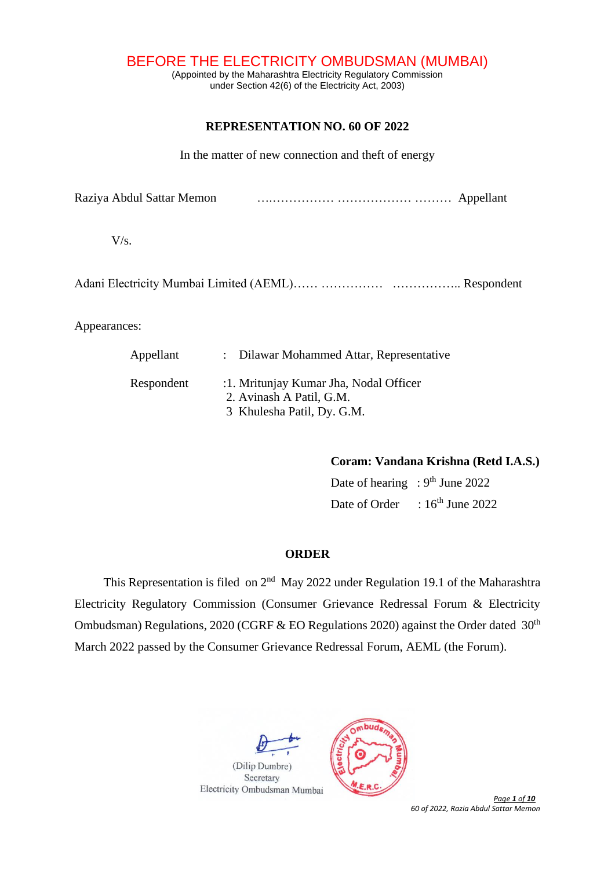BEFORE THE ELECTRICITY OMBUDSMAN (MUMBAI)

(Appointed by the Maharashtra Electricity Regulatory Commission under Section 42(6) of the Electricity Act, 2003)

# **REPRESENTATION NO. 60 OF 2022**

In the matter of new connection and theft of energy

Raziya Abdul Sattar Memon….…………… ……………… ……… Appellant

 $V/s$ .

Adani Electricity Mumbai Limited (AEML)…… …………… ……………… Respondent

Appearances:

| Appellant  | : Dilawar Mohammed Attar, Representative                                                         |
|------------|--------------------------------------------------------------------------------------------------|
| Respondent | :1. Mritunjay Kumar Jha, Nodal Officer<br>2. Avinash A Patil, G.M.<br>3 Khulesha Patil, Dy. G.M. |

**Coram: Vandana Krishna (Retd I.A.S.)**

Date of hearing :  $9<sup>th</sup>$  June 2022 Date of Order :  $16^{\text{th}}$  June 2022

# **ORDER**

This Representation is filed on  $2<sup>nd</sup>$  May 2022 under Regulation 19.1 of the Maharashtra Electricity Regulatory Commission (Consumer Grievance Redressal Forum & Electricity Ombudsman) Regulations, 2020 (CGRF & EO Regulations 2020) against the Order dated  $30<sup>th</sup>$ March 2022 passed by the Consumer Grievance Redressal Forum, AEML (the Forum).





 *Page 1 of 10 60 of 2022, Razia Abdul Sattar Memon*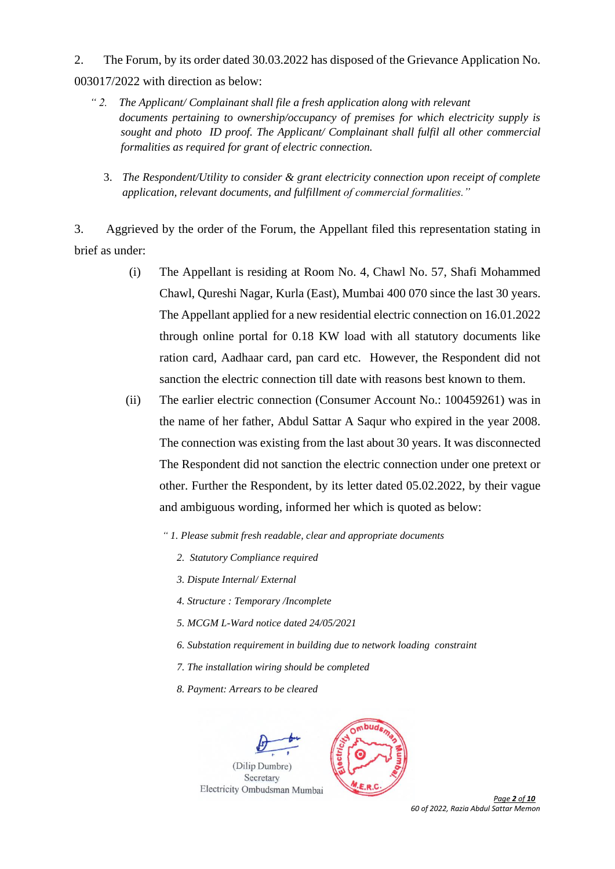2. The Forum, by its order dated 30.03.2022 has disposed of the Grievance Application No. 003017/2022 with direction as below:

- *" 2. The Applicant/ Complainant shall file a fresh application along with relevant documents pertaining to ownership/occupancy of premises for which electricity supply is sought and photo ID proof. The Applicant/ Complainant shall fulfil all other commercial formalities as required for grant of electric connection.*
	- 3. *The Respondent/Utility to consider & grant electricity connection upon receipt of complete application, relevant documents, and fulfillment of commercial formalities."*

3. Aggrieved by the order of the Forum, the Appellant filed this representation stating in brief as under:

- (i) The Appellant is residing at Room No. 4, Chawl No. 57, Shafi Mohammed Chawl, Qureshi Nagar, Kurla (East), Mumbai 400 070 since the last 30 years. The Appellant applied for a new residential electric connection on 16.01.2022 through online portal for 0.18 KW load with all statutory documents like ration card, Aadhaar card, pan card etc. However, the Respondent did not sanction the electric connection till date with reasons best known to them.
- (ii) The earlier electric connection (Consumer Account No.: 100459261) was in the name of her father, Abdul Sattar A Saqur who expired in the year 2008. The connection was existing from the last about 30 years. It was disconnected The Respondent did not sanction the electric connection under one pretext or other. Further the Respondent, by its letter dated 05.02.2022, by their vague and ambiguous wording, informed her which is quoted as below:
	- *" 1. Please submit fresh readable, clear and appropriate documents*
		- *2. Statutory Compliance required*
		- *3. Dispute Internal/ External*
		- *4. Structure : Temporary /Incomplete*
		- *5. MCGM L-Ward notice dated 24/05/2021*
		- *6. Substation requirement in building due to network loading constraint*
		- *7. The installation wiring should be completed*
		- *8. Payment: Arrears to be cleared*





 *Page 2 of 10 60 of 2022, Razia Abdul Sattar Memon*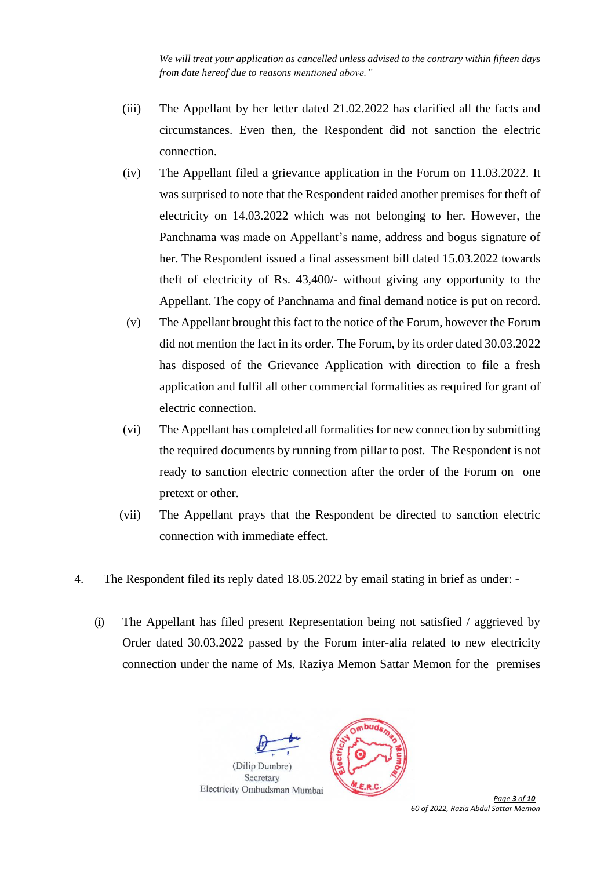*We will treat your application as cancelled unless advised to the contrary within fifteen days from date hereof due to reasons mentioned above."*

- (iii) The Appellant by her letter dated 21.02.2022 has clarified all the facts and circumstances. Even then, the Respondent did not sanction the electric connection.
- (iv) The Appellant filed a grievance application in the Forum on 11.03.2022. It was surprised to note that the Respondent raided another premises for theft of electricity on 14.03.2022 which was not belonging to her. However, the Panchnama was made on Appellant's name, address and bogus signature of her. The Respondent issued a final assessment bill dated 15.03.2022 towards theft of electricity of Rs. 43,400/- without giving any opportunity to the Appellant. The copy of Panchnama and final demand notice is put on record.
- (v) The Appellant brought this fact to the notice of the Forum, however the Forum did not mention the fact in its order. The Forum, by its order dated 30.03.2022 has disposed of the Grievance Application with direction to file a fresh application and fulfil all other commercial formalities as required for grant of electric connection.
- (vi) The Appellant has completed all formalities for new connection by submitting the required documents by running from pillar to post. The Respondent is not ready to sanction electric connection after the order of the Forum on one pretext or other.
- (vii) The Appellant prays that the Respondent be directed to sanction electric connection with immediate effect.
- 4. The Respondent filed its reply dated 18.05.2022 by email stating in brief as under:
	- (i) The Appellant has filed present Representation being not satisfied / aggrieved by Order dated 30.03.2022 passed by the Forum inter-alia related to new electricity connection under the name of Ms. Raziya Memon Sattar Memon for the premises



 *Page 3 of 10 60 of 2022, Razia Abdul Sattar Memon*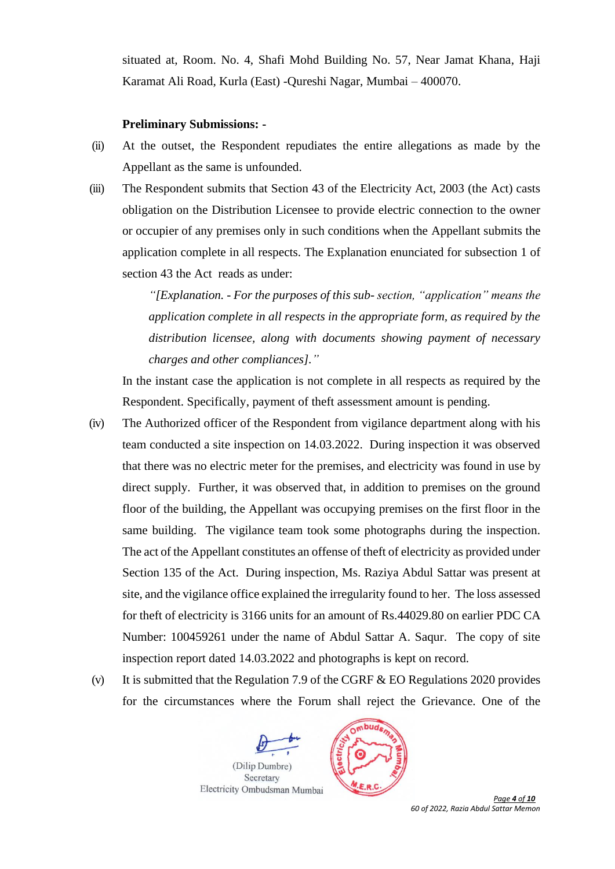situated at, Room. No. 4, Shafi Mohd Building No. 57, Near Jamat Khana, Haji Karamat Ali Road, Kurla (East) -Qureshi Nagar, Mumbai – 400070.

### **Preliminary Submissions: -**

- (ii) At the outset, the Respondent repudiates the entire allegations as made by the Appellant as the same is unfounded.
- (iii) The Respondent submits that Section 43 of the Electricity Act, 2003 (the Act) casts obligation on the Distribution Licensee to provide electric connection to the owner or occupier of any premises only in such conditions when the Appellant submits the application complete in all respects. The Explanation enunciated for subsection 1 of section 43 the Act reads as under:

*"[Explanation. - For the purposes of this sub- section, "application" means the application complete in all respects in the appropriate form, as required by the distribution licensee, along with documents showing payment of necessary charges and other compliances]."* 

In the instant case the application is not complete in all respects as required by the Respondent. Specifically, payment of theft assessment amount is pending.

- (iv) The Authorized officer of the Respondent from vigilance department along with his team conducted a site inspection on 14.03.2022. During inspection it was observed that there was no electric meter for the premises, and electricity was found in use by direct supply. Further, it was observed that, in addition to premises on the ground floor of the building, the Appellant was occupying premises on the first floor in the same building. The vigilance team took some photographs during the inspection. The act of the Appellant constitutes an offense of theft of electricity as provided under Section 135 of the Act. During inspection, Ms. Raziya Abdul Sattar was present at site, and the vigilance office explained the irregularity found to her. The loss assessed for theft of electricity is 3166 units for an amount of Rs.44029.80 on earlier PDC CA Number: 100459261 under the name of Abdul Sattar A. Saqur. The copy of site inspection report dated 14.03.2022 and photographs is kept on record.
- (v) It is submitted that the Regulation 7.9 of the CGRF  $&$  EO Regulations 2020 provides for the circumstances where the Forum shall reject the Grievance. One of the





 *Page 4 of 10 60 of 2022, Razia Abdul Sattar Memon*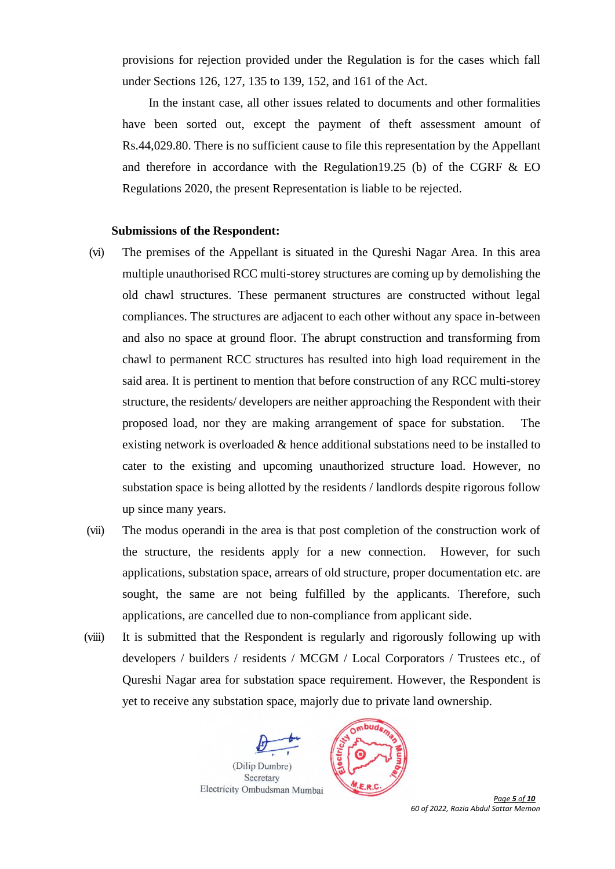provisions for rejection provided under the Regulation is for the cases which fall under Sections 126, 127, 135 to 139, 152, and 161 of the Act.

In the instant case, all other issues related to documents and other formalities have been sorted out, except the payment of theft assessment amount of Rs.44,029.80. There is no sufficient cause to file this representation by the Appellant and therefore in accordance with the Regulation19.25 (b) of the CGRF & EO Regulations 2020, the present Representation is liable to be rejected.

#### **Submissions of the Respondent:**

- (vi) The premises of the Appellant is situated in the Qureshi Nagar Area. In this area multiple unauthorised RCC multi-storey structures are coming up by demolishing the old chawl structures. These permanent structures are constructed without legal compliances. The structures are adjacent to each other without any space in-between and also no space at ground floor. The abrupt construction and transforming from chawl to permanent RCC structures has resulted into high load requirement in the said area. It is pertinent to mention that before construction of any RCC multi-storey structure, the residents/ developers are neither approaching the Respondent with their proposed load, nor they are making arrangement of space for substation. The existing network is overloaded & hence additional substations need to be installed to cater to the existing and upcoming unauthorized structure load. However, no substation space is being allotted by the residents / landlords despite rigorous follow up since many years.
- (vii) The modus operandi in the area is that post completion of the construction work of the structure, the residents apply for a new connection. However, for such applications, substation space, arrears of old structure, proper documentation etc. are sought, the same are not being fulfilled by the applicants. Therefore, such applications, are cancelled due to non-compliance from applicant side.
- (viii) It is submitted that the Respondent is regularly and rigorously following up with developers / builders / residents / MCGM / Local Corporators / Trustees etc., of Qureshi Nagar area for substation space requirement. However, the Respondent is yet to receive any substation space, majorly due to private land ownership.





 *Page 5 of 10 60 of 2022, Razia Abdul Sattar Memon*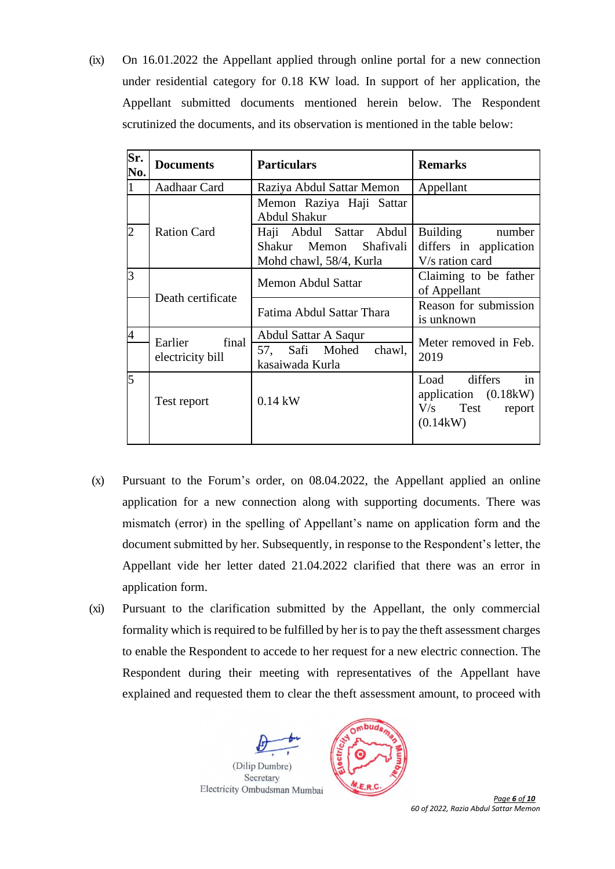(ix) On 16.01.2022 the Appellant applied through online portal for a new connection under residential category for 0.18 KW load. In support of her application, the Appellant submitted documents mentioned herein below. The Respondent scrutinized the documents, and its observation is mentioned in the table below:

| Sr.<br>No. | <b>Documents</b>                     | <b>Particulars</b>                                                           | <b>Remarks</b>                                                                   |
|------------|--------------------------------------|------------------------------------------------------------------------------|----------------------------------------------------------------------------------|
|            | Aadhaar Card                         | Raziya Abdul Sattar Memon                                                    | Appellant                                                                        |
|            |                                      | Memon Raziya Haji Sattar<br>Abdul Shakur                                     |                                                                                  |
| 2          | <b>Ration Card</b>                   | Haji Abdul Sattar Abdul<br>Shakur Memon Shafivali<br>Mohd chawl, 58/4, Kurla | Building number<br>differs in application<br>V/s ration card                     |
| 3          | Death certificate                    | Memon Abdul Sattar                                                           | Claiming to be father<br>of Appellant                                            |
|            |                                      | Fatima Abdul Sattar Thara                                                    | Reason for submission<br>is unknown                                              |
|            | final<br>Earlier<br>electricity bill | Abdul Sattar A Saqur<br>chawl,<br>57, Safi Mohed                             | Meter removed in Feb.<br>2019                                                    |
|            |                                      | kasaiwada Kurla                                                              |                                                                                  |
| 5          | Test report                          | $0.14$ kW                                                                    | in<br>Load differs<br>application $(0.18kW)$<br>$V/s$ Test<br>report<br>(0.14kW) |

- (x) Pursuant to the Forum's order, on 08.04.2022, the Appellant applied an online application for a new connection along with supporting documents. There was mismatch (error) in the spelling of Appellant's name on application form and the document submitted by her. Subsequently, in response to the Respondent's letter, the Appellant vide her letter dated 21.04.2022 clarified that there was an error in application form.
- (xi) Pursuant to the clarification submitted by the Appellant, the only commercial formality which is required to be fulfilled by her is to pay the theft assessment charges to enable the Respondent to accede to her request for a new electric connection. The Respondent during their meeting with representatives of the Appellant have explained and requested them to clear the theft assessment amount, to proceed with





 *Page 6 of 10 60 of 2022, Razia Abdul Sattar Memon*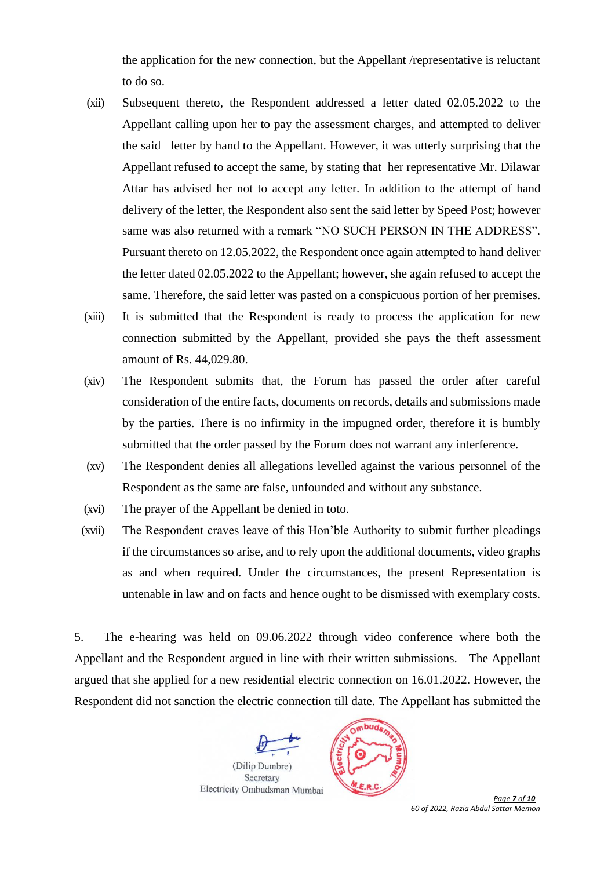the application for the new connection, but the Appellant /representative is reluctant to do so.

- (xii) Subsequent thereto, the Respondent addressed a letter dated 02.05.2022 to the Appellant calling upon her to pay the assessment charges, and attempted to deliver the said letter by hand to the Appellant. However, it was utterly surprising that the Appellant refused to accept the same, by stating that her representative Mr. Dilawar Attar has advised her not to accept any letter. In addition to the attempt of hand delivery of the letter, the Respondent also sent the said letter by Speed Post; however same was also returned with a remark "NO SUCH PERSON IN THE ADDRESS". Pursuant thereto on 12.05.2022, the Respondent once again attempted to hand deliver the letter dated 02.05.2022 to the Appellant; however, she again refused to accept the same. Therefore, the said letter was pasted on a conspicuous portion of her premises.
- (xiii) It is submitted that the Respondent is ready to process the application for new connection submitted by the Appellant, provided she pays the theft assessment amount of Rs. 44,029.80.
- (xiv) The Respondent submits that, the Forum has passed the order after careful consideration of the entire facts, documents on records, details and submissions made by the parties. There is no infirmity in the impugned order, therefore it is humbly submitted that the order passed by the Forum does not warrant any interference.
- (xv) The Respondent denies all allegations levelled against the various personnel of the Respondent as the same are false, unfounded and without any substance.
- (xvi) The prayer of the Appellant be denied in toto.
- (xvii) The Respondent craves leave of this Hon'ble Authority to submit further pleadings if the circumstances so arise, and to rely upon the additional documents, video graphs as and when required. Under the circumstances, the present Representation is untenable in law and on facts and hence ought to be dismissed with exemplary costs.

5. The e-hearing was held on 09.06.2022 through video conference where both the Appellant and the Respondent argued in line with their written submissions. The Appellant argued that she applied for a new residential electric connection on 16.01.2022. However, the Respondent did not sanction the electric connection till date. The Appellant has submitted the





 *Page 7 of 10 60 of 2022, Razia Abdul Sattar Memon*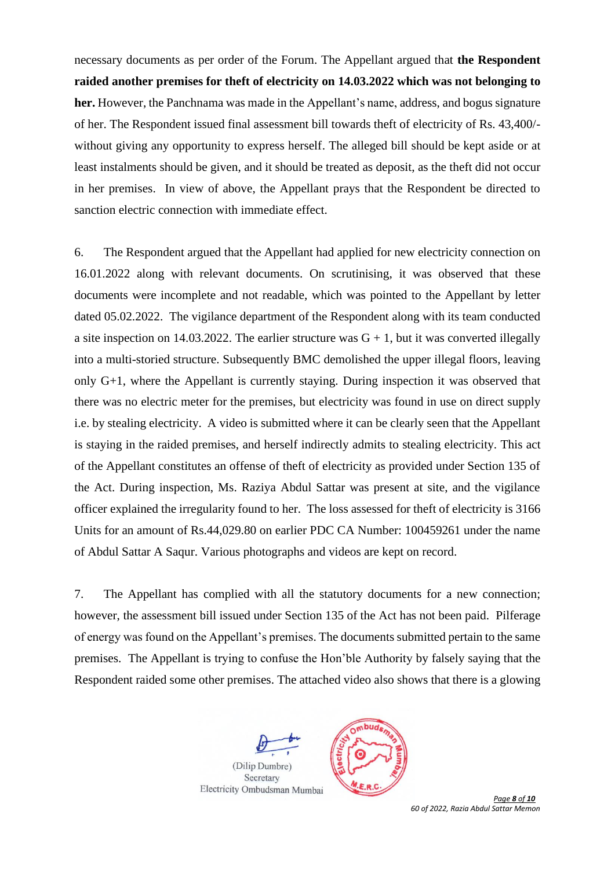necessary documents as per order of the Forum. The Appellant argued that **the Respondent raided another premises for theft of electricity on 14.03.2022 which was not belonging to her.** However, the Panchnama was made in the Appellant's name, address, and bogus signature of her. The Respondent issued final assessment bill towards theft of electricity of Rs. 43,400/ without giving any opportunity to express herself. The alleged bill should be kept aside or at least instalments should be given, and it should be treated as deposit, as the theft did not occur in her premises. In view of above, the Appellant prays that the Respondent be directed to sanction electric connection with immediate effect.

6. The Respondent argued that the Appellant had applied for new electricity connection on 16.01.2022 along with relevant documents. On scrutinising, it was observed that these documents were incomplete and not readable, which was pointed to the Appellant by letter dated 05.02.2022. The vigilance department of the Respondent along with its team conducted a site inspection on 14.03.2022. The earlier structure was  $G + 1$ , but it was converted illegally into a multi-storied structure. Subsequently BMC demolished the upper illegal floors, leaving only G+1, where the Appellant is currently staying. During inspection it was observed that there was no electric meter for the premises, but electricity was found in use on direct supply i.e. by stealing electricity. A video is submitted where it can be clearly seen that the Appellant is staying in the raided premises, and herself indirectly admits to stealing electricity. This act of the Appellant constitutes an offense of theft of electricity as provided under Section 135 of the Act. During inspection, Ms. Raziya Abdul Sattar was present at site, and the vigilance officer explained the irregularity found to her. The loss assessed for theft of electricity is 3166 Units for an amount of Rs.44,029.80 on earlier PDC CA Number: 100459261 under the name of Abdul Sattar A Saqur. Various photographs and videos are kept on record.

7. The Appellant has complied with all the statutory documents for a new connection; however, the assessment bill issued under Section 135 of the Act has not been paid. Pilferage of energy was found on the Appellant's premises. The documents submitted pertain to the same premises. The Appellant is trying to confuse the Hon'ble Authority by falsely saying that the Respondent raided some other premises. The attached video also shows that there is a glowing





 *Page 8 of 10 60 of 2022, Razia Abdul Sattar Memon*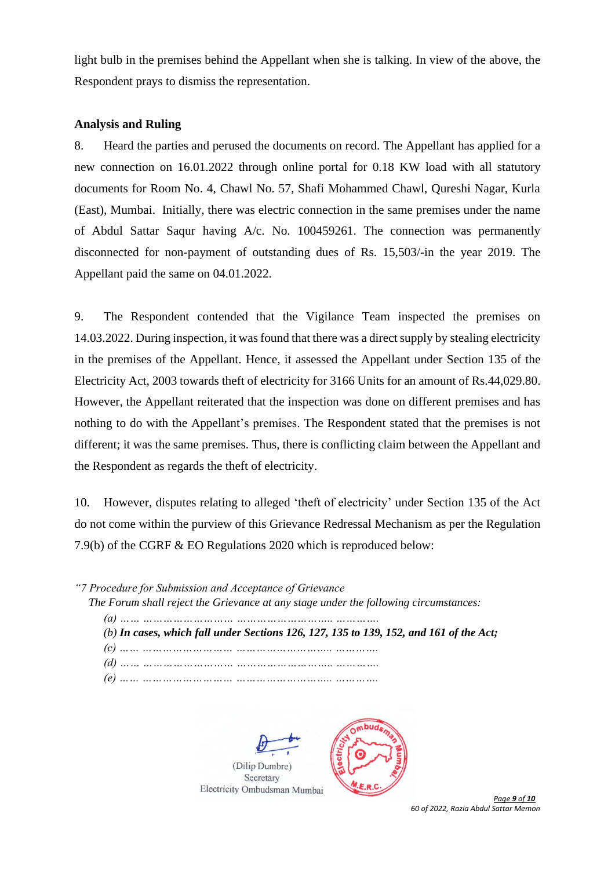light bulb in the premises behind the Appellant when she is talking. In view of the above, the Respondent prays to dismiss the representation.

### **Analysis and Ruling**

8. Heard the parties and perused the documents on record. The Appellant has applied for a new connection on 16.01.2022 through online portal for 0.18 KW load with all statutory documents for Room No. 4, Chawl No. 57, Shafi Mohammed Chawl, Qureshi Nagar, Kurla (East), Mumbai. Initially, there was electric connection in the same premises under the name of Abdul Sattar Saqur having A/c. No. 100459261. The connection was permanently disconnected for non-payment of outstanding dues of Rs. 15,503/-in the year 2019. The Appellant paid the same on 04.01.2022.

9. The Respondent contended that the Vigilance Team inspected the premises on 14.03.2022. During inspection, it was found that there was a direct supply by stealing electricity in the premises of the Appellant. Hence, it assessed the Appellant under Section 135 of the Electricity Act, 2003 towards theft of electricity for 3166 Units for an amount of Rs.44,029.80. However, the Appellant reiterated that the inspection was done on different premises and has nothing to do with the Appellant's premises. The Respondent stated that the premises is not different; it was the same premises. Thus, there is conflicting claim between the Appellant and the Respondent as regards the theft of electricity.

10. However, disputes relating to alleged 'theft of electricity' under Section 135 of the Act do not come within the purview of this Grievance Redressal Mechanism as per the Regulation 7.9(b) of the CGRF & EO Regulations 2020 which is reproduced below:

| "7 Procedure for Submission and Acceptance of Grievance"                               |
|----------------------------------------------------------------------------------------|
| The Forum shall reject the Grievance at any stage under the following circumstances:   |
|                                                                                        |
| (b) In cases, which fall under Sections 126, 127, 135 to 139, 152, and 161 of the Act; |
|                                                                                        |
|                                                                                        |
|                                                                                        |

(Dilip Dumbre) Secretary Electricity Ombudsman Mumbai



 *Page 9 of 10 60 of 2022, Razia Abdul Sattar Memon*